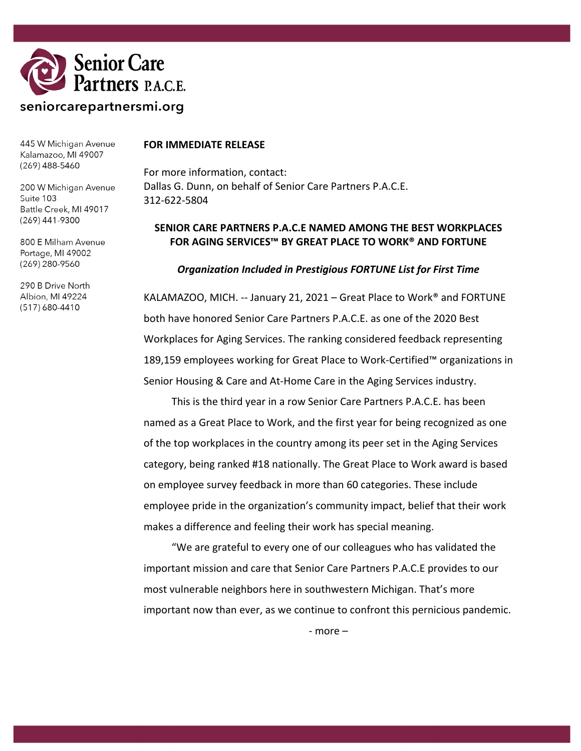

445 W Michigan Avenue Kalamazoo, MI 49007  $(269)$  488-5460

200 W Michigan Avenue Suite 103 Battle Creek, MI 49017 (269) 441-9300

800 E Milham Avenue Portage, MI 49002 (269) 280-9560

290 B Drive North Albion, MI 49224 (517) 680-4410

#### **FOR IMMEDIATE RELEASE**

For more information, contact: Dallas G. Dunn, on behalf of Senior Care Partners P.A.C.E. 312-622-5804

## **SENIOR CARE PARTNERS P.A.C.E NAMED AMONG THE BEST WORKPLACES FOR AGING SERVICES™ BY GREAT PLACE TO WORK® AND FORTUNE**

#### *Organization Included in Prestigious FORTUNE List for First Time*

KALAMAZOO, MICH. -- January 21, 2021 – Great Place to Work® and FORTUNE both have honored Senior Care Partners P.A.C.E. as one of the 2020 Best Workplaces for Aging Services. The ranking considered feedback representing 189,159 employees working for Great Place to Work-Certified™ organizations in Senior Housing & Care and At-Home Care in the Aging Services industry.

This is the third year in a row Senior Care Partners P.A.C.E. has been named as a Great Place to Work, and the first year for being recognized as one of the top workplaces in the country among its peer set in the Aging Services category, being ranked #18 nationally. The Great Place to Work award is based on employee survey feedback in more than 60 categories. These include employee pride in the organization's community impact, belief that their work makes a difference and feeling their work has special meaning.

"We are grateful to every one of our colleagues who has validated the important mission and care that Senior Care Partners P.A.C.E provides to our most vulnerable neighbors here in southwestern Michigan. That's more important now than ever, as we continue to confront this pernicious pandemic.

- more –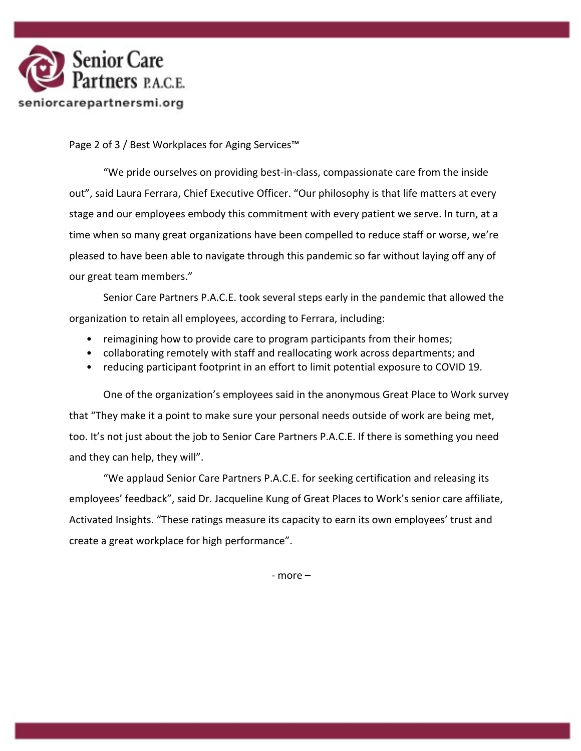

Page 2 of 3 / Best Workplaces for Aging Services™

"We pride ourselves on providing best-in-class, compassionate care from the inside out", said Laura Ferrara, Chief Executive Officer. "Our philosophy is that life matters at every stage and our employees embody this commitment with every patient we serve. In turn, at a time when so many great organizations have been compelled to reduce staff or worse, we're pleased to have been able to navigate through this pandemic so far without laying off any of our great team members."

Senior Care Partners P.A.C.E. took several steps early in the pandemic that allowed the organization to retain all employees, according to Ferrara, including:

- reimagining how to provide care to program participants from their homes;
- collaborating remotely with staff and reallocating work across departments; and
- reducing participant footprint in an effort to limit potential exposure to COVID 19.

One of the organization's employees said in the anonymous Great Place to Work survey that "They make it a point to make sure your personal needs outside of work are being met, too. It's not just about the job to Senior Care Partners P.A.C.E. If there is something you need and they can help, they will".

"We applaud Senior Care Partners P.A.C.E. for seeking certification and releasing its employees' feedback", said Dr. Jacqueline Kung of Great Places to Work's senior care affiliate, Activated Insights. "These ratings measure its capacity to earn its own employees' trust and create a great workplace for high performance".

- more –